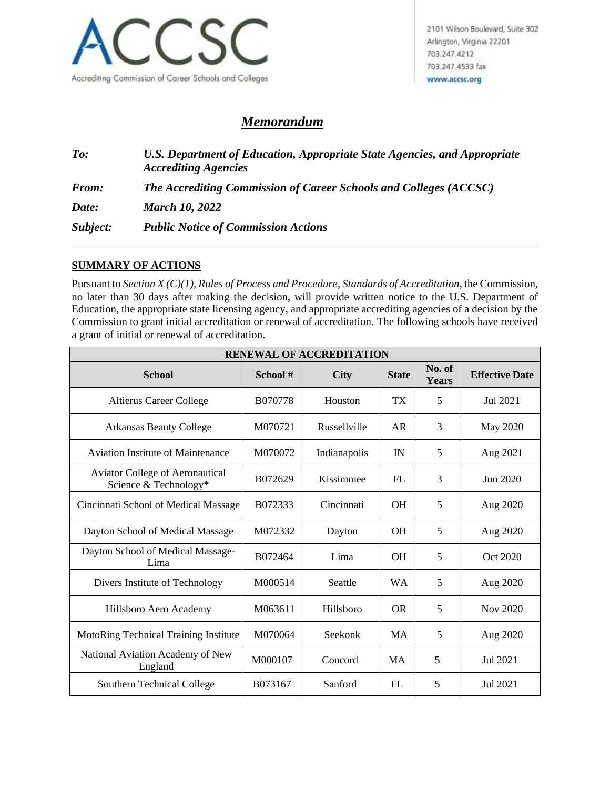

## *Memorandum*

*To: U.S. Department of Education, Appropriate State Agencies, and Appropriate Accrediting Agencies From: The Accrediting Commission of Career Schools and Colleges (ACCSC) Date: March 10, 2022 Subject: Public Notice of Commission Actions*

## **SUMMARY OF ACTIONS**

Pursuant to *Section X (C)(1), Rules of Process and Procedure*, *Standards of Accreditation*, the Commission, no later than 30 days after making the decision, will provide written notice to the U.S. Department of Education, the appropriate state licensing agency, and appropriate accrediting agencies of a decision by the Commission to grant initial accreditation or renewal of accreditation. The following schools have received a grant of initial or renewal of accreditation.

| <b>RENEWAL OF ACCREDITATION</b>                                 |         |              |              |                        |                       |  |  |
|-----------------------------------------------------------------|---------|--------------|--------------|------------------------|-----------------------|--|--|
| <b>School</b>                                                   | School# | <b>City</b>  | <b>State</b> | No. of<br><b>Years</b> | <b>Effective Date</b> |  |  |
| <b>Altierus Career College</b>                                  | B070778 | Houston      | <b>TX</b>    | 5                      | Jul 2021              |  |  |
| <b>Arkansas Beauty College</b>                                  | M070721 | Russellville | <b>AR</b>    | 3                      | May 2020              |  |  |
| <b>Aviation Institute of Maintenance</b>                        | M070072 | Indianapolis | IN           | 5                      | Aug 2021              |  |  |
| <b>Aviator College of Aeronautical</b><br>Science & Technology* | B072629 | Kissimmee    | FL           | 3                      | Jun 2020              |  |  |
| Cincinnati School of Medical Massage                            | B072333 | Cincinnati   | <b>OH</b>    | 5                      | Aug 2020              |  |  |
| Dayton School of Medical Massage                                | M072332 | Dayton       | <b>OH</b>    | 5                      | Aug 2020              |  |  |
| Dayton School of Medical Massage-<br>Lima                       | B072464 | Lima         | <b>OH</b>    | 5                      | Oct 2020              |  |  |
| Divers Institute of Technology                                  | M000514 | Seattle      | <b>WA</b>    | 5                      | Aug 2020              |  |  |
| Hillsboro Aero Academy                                          | M063611 | Hillsboro    | <b>OR</b>    | 5                      | Nov 2020              |  |  |
| MotoRing Technical Training Institute                           | M070064 | Seekonk      | <b>MA</b>    | 5                      | Aug 2020              |  |  |
| National Aviation Academy of New<br>England                     | M000107 | Concord      | <b>MA</b>    | 5                      | Jul 2021              |  |  |
| Southern Technical College                                      | B073167 | Sanford      | FL           | 5                      | Jul 2021              |  |  |